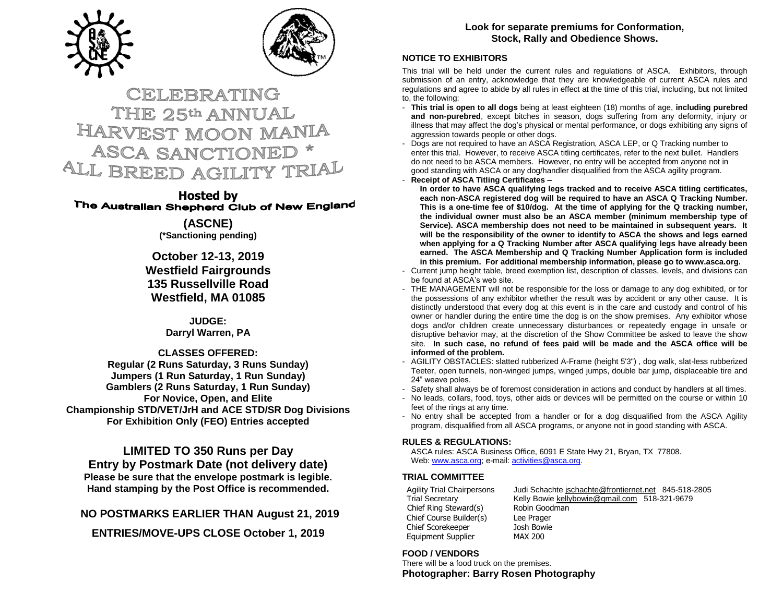



# CELEBRATING THE 25th ANNUAL HARVEST MOON MANIA **ASCA SANCTIONED** ALL BREED AGILITY TRIAL

**Hosted by**<br>The Australian Shepherd Club of New England

**(ASCNE) (\*Sanctioning pending)**

**October 12-13, 2019 Westfield Fairgrounds 135 Russellville Road Westfield, MA 01085**

> **JUDGE: Darryl Warren, PA**

**CLASSES OFFERED: Regular (2 Runs Saturday, 3 Runs Sunday) Jumpers (1 Run Saturday, 1 Run Sunday) Gamblers (2 Runs Saturday, 1 Run Sunday) For Novice, Open, and Elite Championship STD/VET/JrH and ACE STD/SR Dog Divisions For Exhibition Only (FEO) Entries accepted**

**LIMITED TO 350 Runs per Day Entry by Postmark Date (not delivery date) Please be sure that the envelope postmark is legible. Hand stamping by the Post Office is recommended.** 

**NO POSTMARKS EARLIER THAN August 21, 2019**

**ENTRIES/MOVE-UPS CLOSE October 1, 2019**

# **Look for separate premiums for Conformation, Stock, Rally and Obedience Shows.**

### **NOTICE TO EXHIBITORS**

This trial will be held under the current rules and regulations of ASCA. Exhibitors, through submission of an entry, acknowledge that they are knowledgeable of current ASCA rules and regulations and agree to abide by all rules in effect at the time of this trial, including, but not limited to, the following:

- **This trial is open to all dogs** being at least eighteen (18) months of age, **including purebred and non-purebred**, except bitches in season, dogs suffering from any deformity, injury or illness that may affect the dog's physical or mental performance, or dogs exhibiting any signs of aggression towards people or other dogs.
- Dogs are not required to have an ASCA Registration, ASCA LEP, or Q Tracking number to enter this trial. However, to receive ASCA titling certificates, refer to the next bullet. Handlers do not need to be ASCA members. However, no entry will be accepted from anyone not in good standing with ASCA or any dog/handler disqualified from the ASCA agility program.
- **Receipt of ASCA Titling Certificates –**

**In order to have ASCA qualifying legs tracked and to receive ASCA titling certificates, each non-ASCA registered dog will be required to have an ASCA Q Tracking Number. This is a one-time fee of \$10/dog. At the time of applying for the Q tracking number, the individual owner must also be an ASCA member (minimum membership type of Service). ASCA membership does not need to be maintained in subsequent years. It will be the responsibility of the owner to identify to ASCA the shows and legs earned when applying for a Q Tracking Number after ASCA qualifying legs have already been earned. The ASCA Membership and Q Tracking Number Application form is included in this premium. For additional membership information, please go to www.asca.org.**

- Current jump height table, breed exemption list, description of classes, levels, and divisions can be found at ASCA's web site.
- THE MANAGEMENT will not be responsible for the loss or damage to any dog exhibited, or for the possessions of any exhibitor whether the result was by accident or any other cause. It is distinctly understood that every dog at this event is in the care and custody and control of his owner or handler during the entire time the dog is on the show premises. Any exhibitor whose dogs and/or children create unnecessary disturbances or repeatedly engage in unsafe or disruptive behavior may, at the discretion of the Show Committee be asked to leave the show site. **In such case, no refund of fees paid will be made and the ASCA office will be informed of the problem.**
- AGILITY OBSTACLES: slatted rubberized A-Frame (height 5'3") , dog walk, slat-less rubberized Teeter, open tunnels, non-winged jumps, winged jumps, double bar jump, displaceable tire and 24" weave poles.
- Safety shall always be of foremost consideration in actions and conduct by handlers at all times.
- No leads, collars, food, toys, other aids or devices will be permitted on the course or within 10 feet of the rings at any time.
- No entry shall be accepted from a handler or for a dog disqualified from the ASCA Agility program, disqualified from all ASCA programs, or anyone not in good standing with ASCA.

### **RULES & REGULATIONS:**

ASCA rules: ASCA Business Office, 6091 E State Hwy 21, Bryan, TX 77808. Web[: www.asca.org;](http://www.asca.org/) e-mail[: activities@asca.org.](mailto:activities@asca.org)

# **TRIAL COMMITTEE**

Chief Ring Steward(s) Robin Goodman Chief Course Builder(s) Lee Prager Chief Scorekeeper Josh Bowie Equipment Supplier MAX 200

Agility Trial Chairpersons Judi Schacht[e jschachte@frontiernet.net](mailto:jschachte@frontiernet.net) [845-518-2805](tel:(845)%20518-2805)<br>Trial Secretary Kelly Bowie kellybowie@gmail.com 518-321-9679 Kelly Bowie [kellybowie@gmail.com](mailto:kellybowie@gmail.com) 518-321-9679

# **FOOD / VENDORS**

There will be a food truck on the premises. **Photographer: Barry Rosen Photography**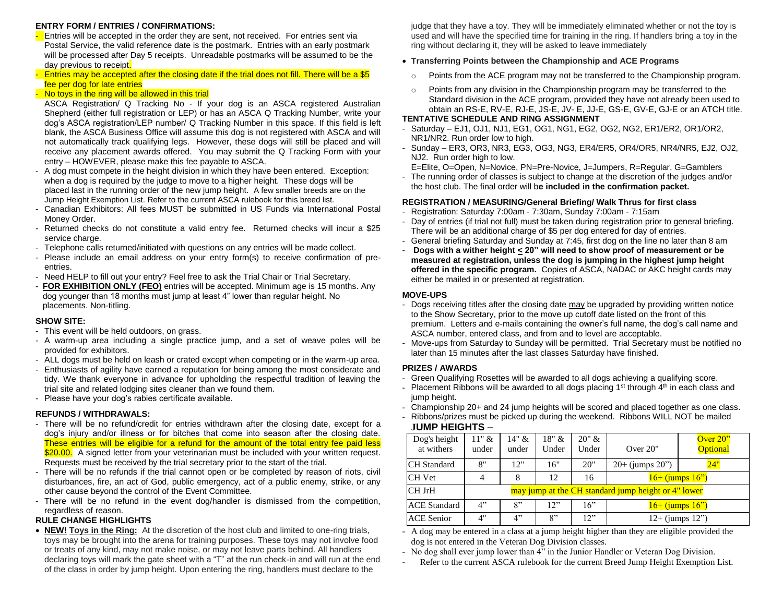### **ENTRY FORM / ENTRIES / CONFIRMATIONS:**

**Entries will be accepted in the order they are sent, not received. For entries sent via** Postal Service, the valid reference date is the postmark. Entries with an early postmark will be processed after Day 5 receipts. Unreadable postmarks will be assumed to be the day previous to receipt.

### - Entries may be accepted after the closing date if the trial does not fill. There will be a \$5 fee per dog for late entries

### - No toys in the ring will be allowed in this trial

- ASCA Registration/ Q Tracking No If your dog is an ASCA registered Australian Shepherd (either full registration or LEP) or has an ASCA Q Tracking Number, write your dog's ASCA registration/LEP number/ Q Tracking Number in this space. If this field is left blank, the ASCA Business Office will assume this dog is not registered with ASCA and will not automatically track qualifying legs. However, these dogs will still be placed and will receive any placement awards offered. You may submit the Q Tracking Form with your entry – HOWEVER, please make this fee payable to ASCA.
- A dog must compete in the height division in which they have been entered. Exception: when a dog is required by the judge to move to a higher height. These dogs will be placed last in the running order of the new jump height. A few smaller breeds are on the Jump Height Exemption List. Refer to the current ASCA rulebook for this breed list.
- Canadian Exhibitors: All fees MUST be submitted in US Funds via International Postal Money Order.
- Returned checks do not constitute a valid entry fee. Returned checks will incur a \$25 service charge.
- Telephone calls returned/initiated with questions on any entries will be made collect.
- Please include an email address on your entry form(s) to receive confirmation of preentries.
- Need HELP to fill out your entry? Feel free to ask the Trial Chair or Trial Secretary.
- **FOR EXHIBITION ONLY (FEO)** entries will be accepted. Minimum age is 15 months. Any dog younger than 18 months must jump at least 4" lower than regular height. No placements. Non-titling.

#### **SHOW SITE:**

- This event will be held outdoors, on grass.
- A warm-up area including a single practice jump, and a set of weave poles will be provided for exhibitors.
- ALL dogs must be held on leash or crated except when competing or in the warm-up area.
- Enthusiasts of agility have earned a reputation for being among the most considerate and tidy. We thank everyone in advance for upholding the respectful tradition of leaving the trial site and related lodging sites cleaner than we found them.
- Please have your dog's rabies certificate available.

#### **REFUNDS / WITHDRAWALS:**

- There will be no refund/credit for entries withdrawn after the closing date, except for a dog's injury and/or illness or for bitches that come into season after the closing date. These entries will be eligible for a refund for the amount of the total entry fee paid less \$20.00. A signed letter from your veterinarian must be included with your written request. Requests must be received by the trial secretary prior to the start of the trial.
- There will be no refunds if the trial cannot open or be completed by reason of riots, civil disturbances, fire, an act of God, public emergency, act of a public enemy, strike, or any other cause beyond the control of the Event Committee.
- There will be no refund in the event dog/handler is dismissed from the competition, regardless of reason.

### **RULE CHANGE HIGHLIGHTS**

• **NEW! Toys in the Ring:** At the discretion of the host club and limited to one-ring trials, toys may be brought into the arena for training purposes. These toys may not involve food or treats of any kind, may not make noise, or may not leave parts behind. All handlers declaring toys will mark the gate sheet with a "T" at the run check-in and will run at the end of the class in order by jump height. Upon entering the ring, handlers must declare to the

judge that they have a toy. They will be immediately eliminated whether or not the toy is used and will have the specified time for training in the ring. If handlers bring a toy in the ring without declaring it, they will be asked to leave immediately

### • **Transferring Points between the Championship and ACE Programs**

- $\circ$  Points from the ACE program may not be transferred to the Championship program.
- Points from any division in the Championship program may be transferred to the Standard division in the ACE program, provided they have not already been used to obtain an RS-E, RV-E, RJ-E, JS-E, JV- E, JJ-E, GS-E, GV-E, GJ-E or an ATCH title.

### **TENTATIVE SCHEDULE AND RING ASSIGNMENT**

- Saturday EJ1, OJ1, NJ1, EG1, OG1, NG1, EG2, OG2, NG2, ER1/ER2, OR1/OR2, NR1/NR2. Run order low to high.
- Sunday ER3, OR3, NR3, EG3, OG3, NG3, ER4/ER5, OR4/OR5, NR4/NR5, EJ2, OJ2, NJ2. Run order high to low.

E=Elite, O=Open, N=Novice, PN=Pre-Novice, J=Jumpers, R=Regular, G=Gamblers

- The running order of classes is subject to change at the discretion of the judges and/or the host club. The final order will b**e included in the confirmation packet.**

### **REGISTRATION / MEASURING/General Briefing/ Walk Thrus for first class**

- Registration: Saturday 7:00am 7:30am, Sunday 7:00am 7:15am
- Day of entries (if trial not full) must be taken during registration prior to general briefing. There will be an additional charge of \$5 per dog entered for day of entries.
- General briefing Saturday and Sunday at 7:45, first dog on the line no later than 8 am
- **Dogs with a wither height < 20" will need to show proof of measurement or be measured at registration, unless the dog is jumping in the highest jump height offered in the specific program.** Copies of ASCA, NADAC or AKC height cards may either be mailed in or presented at registration.

#### **MOVE-UPS**

- Dogs receiving titles after the closing date may be upgraded by providing written notice to the Show Secretary, prior to the move up cutoff date listed on the front of this premium. Letters and e-mails containing the owner's full name, the dog's call name and ASCA number, entered class, and from and to level are acceptable.
- Move-ups from Saturday to Sunday will be permitted. Trial Secretary must be notified no later than 15 minutes after the last classes Saturday have finished.

#### **PRIZES / AWARDS**

- Green Qualifying Rosettes will be awarded to all dogs achieving a qualifying score.
- Placement Ribbons will be awarded to all dogs placing  $1<sup>st</sup>$  through  $4<sup>th</sup>$  in each class and jump height.
- Championship 20+ and 24 jump heights will be scored and placed together as one class.

### - Ribbons/prizes must be picked up during the weekend. Ribbons WILL NOT be mailed **JUMP HEIGHTS** –

| Dog's height<br>at withers | $11"$ &<br>under                                    | 14" &<br>under | 18" &<br>Under | 20" &<br>Under | Over $20$ "          | Over $20$ "<br><b>Optional</b> |  |  |
|----------------------------|-----------------------------------------------------|----------------|----------------|----------------|----------------------|--------------------------------|--|--|
| <b>CH</b> Standard         | 8"                                                  | 12"            | 16"            | 20"            | $20+$ (jumps $20$ ") | 24"                            |  |  |
| <b>CH</b> Vet              | $\overline{4}$                                      | 8              | 12             | 16             | $16+$ (jumps $16"$ ) |                                |  |  |
| CH JrH                     | may jump at the CH standard jump height or 4" lower |                |                |                |                      |                                |  |  |
| <b>ACE Standard</b>        | 4"                                                  | 8"             | 12"            | 16"            | $16+$ (jumps $16"$ ) |                                |  |  |
| <b>ACE Senior</b>          | 4"                                                  | 4"             | 8"             | 12"            | $12+$ (jumps $12"$ ) |                                |  |  |

- A dog may be entered in a class at a jump height higher than they are eligible provided the dog is not entered in the Veteran Dog Division classes.

- No dog shall ever jump lower than 4" in the Junior Handler or Veteran Dog Division.
- Refer to the current ASCA rulebook for the current Breed Jump Height Exemption List.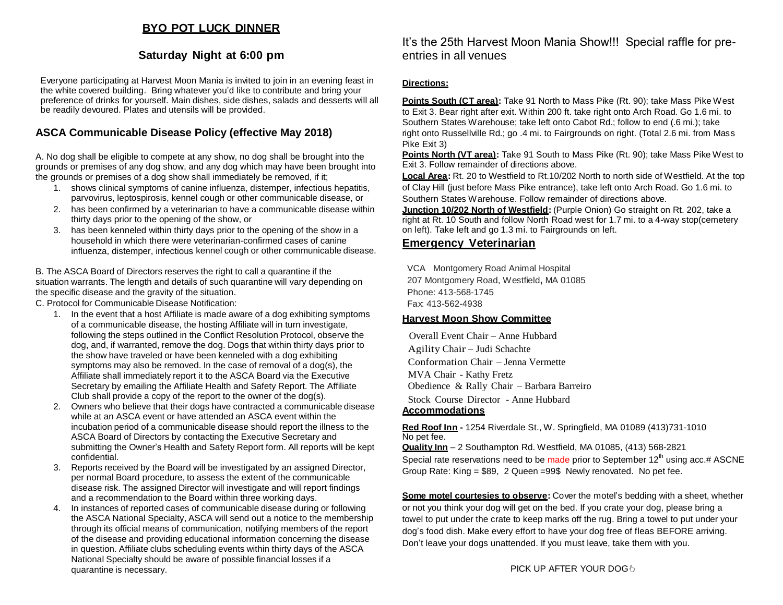# **BYO POT LUCK DINNER**

# **Saturday Night at 6:00 pm**

Everyone participating at Harvest Moon Mania is invited to join in an evening feast in the white covered building. Bring whatever you'd like to contribute and bring your preference of drinks for yourself. Main dishes, side dishes, salads and desserts will all be readily devoured. Plates and utensils will be provided.

# **ASCA Communicable Disease Policy (effective May 2018)**

A. No dog shall be eligible to compete at any show, no dog shall be brought into the grounds or premises of any dog show, and any dog which may have been brought into the grounds or premises of a dog show shall immediately be removed, if it;

- 1. shows clinical symptoms of canine influenza, distemper, infectious hepatitis, parvovirus, leptospirosis, kennel cough or other communicable disease, or
- 2. has been confirmed by a veterinarian to have a communicable disease within thirty days prior to the opening of the show, or
- 3. has been kenneled within thirty days prior to the opening of the show in a household in which there were veterinarian-confirmed cases of canine influenza, distemper, infectious kennel cough or other communicable disease.

B. The ASCA Board of Directors reserves the right to call a quarantine if the situation warrants. The length and details of such quarantine will vary depending on the specific disease and the gravity of the situation.

C. Protocol for Communicable Disease Notification:

- 1. In the event that a host Affiliate is made aware of a dog exhibiting symptoms of a communicable disease, the hosting Affiliate will in turn investigate, following the steps outlined in the Conflict Resolution Protocol, observe the dog, and, if warranted, remove the dog. Dogs that within thirty days prior to the show have traveled or have been kenneled with a dog exhibiting symptoms may also be removed. In the case of removal of a dog(s), the Affiliate shall immediately report it to the ASCA Board via the Executive Secretary by emailing the Affiliate Health and Safety Report. The Affiliate Club shall provide a copy of the report to the owner of the dog(s).
- 2. Owners who believe that their dogs have contracted a communicable disease while at an ASCA event or have attended an ASCA event within the incubation period of a communicable disease should report the illness to the ASCA Board of Directors by contacting the Executive Secretary and submitting the Owner's Health and Safety Report form. All reports will be kept confidential.
- Reports received by the Board will be investigated by an assigned Director, per normal Board procedure, to assess the extent of the communicable disease risk. The assigned Director will investigate and will report findings and a recommendation to the Board within three working days.
- 4. In instances of reported cases of communicable disease during or following the ASCA National Specialty, ASCA will send out a notice to the membership through its official means of communication, notifying members of the report of the disease and providing educational information concerning the disease in question. Affiliate clubs scheduling events within thirty days of the ASCA National Specialty should be aware of possible financial losses if a quarantine is necessary.

It's the 25th Harvest Moon Mania Show!!! Special raffle for preentries in all venues

### **Directions:**

**Points South (CT area):** Take 91 North to Mass Pike (Rt. 90); take Mass Pike West to Exit 3. Bear right after exit. Within 200 ft. take right onto Arch Road. Go 1.6 mi. to Southern States Warehouse; take left onto Cabot Rd.; follow to end (.6 mi.); take right onto Russellville Rd.; go .4 mi. to Fairgrounds on right. (Total 2.6 mi. from Mass Pike Exit 3)

**Points North (VT area):** Take 91 South to Mass Pike (Rt. 90); take Mass Pike West to Exit 3. Follow remainder of directions above.

**Local Area:** Rt. 20 to Westfield to Rt.10/202 North to north side of Westfield. At the top of Clay Hill (just before Mass Pike entrance), take left onto Arch Road. Go 1.6 mi. to Southern States Warehouse. Follow remainder of directions above.

**Junction 10/202 North of Westfield:** (Purple Onion) Go straight on Rt. 202, take a right at Rt. 10 South and follow North Road west for 1.7 mi. to a 4-way stop(cemetery on left). Take left and go 1.3 mi. to Fairgrounds on left.

# **Emergency Veterinarian**

VCA Montgomery Road Animal Hospital 207 Montgomery Road, Westfield**,** MA 01085 Phone: 413-568-1745 Fax: 413-562-4938

### **Harvest Moon Show Committee**

 Overall Event Chair – Anne Hubbard Agility Chair – Judi Schachte Conformation Chair – Jenna Vermette MVA Chair - Kathy Fretz Obedience & Rally Chair – Barbara Barreiro Stock Course Director - Anne Hubbard **Accommodations**

**Red Roof Inn -** 1254 Riverdale St., W. Springfield, MA 01089 (413)731-1010 No pet fee.

**Quality Inn** – 2 Southampton Rd. Westfield, MA 01085, (413) 568-2821 Special rate reservations need to be made prior to September 12<sup>th</sup> using acc.# ASCNE Group Rate: King = \$89, 2 Queen =99\$ Newly renovated. No pet fee.

**Some motel courtesies to observe:** Cover the motel's bedding with a sheet, whether or not you think your dog will get on the bed. If you crate your dog, please bring a towel to put under the crate to keep marks off the rug. Bring a towel to put under your dog's food dish. Make every effort to have your dog free of fleas BEFORE arriving. Don't leave your dogs unattended. If you must leave, take them with you.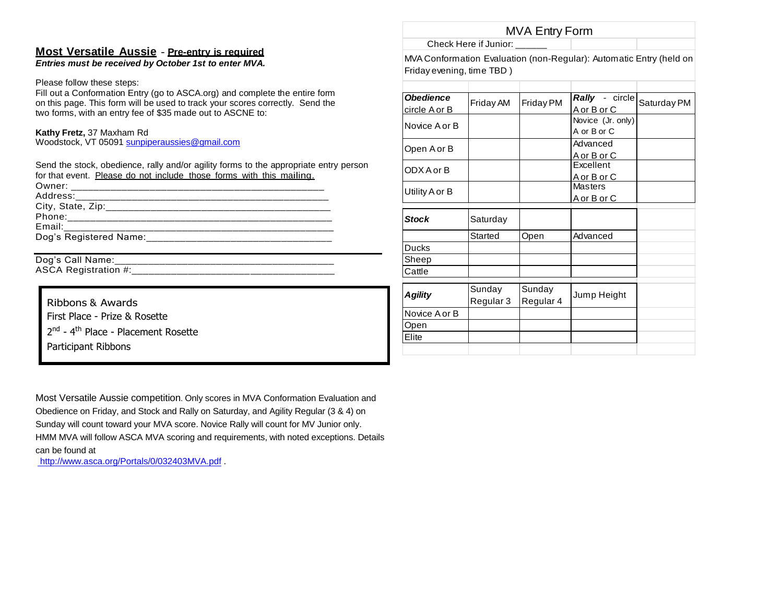# **Most Versatile Aussie** - **Pre-entry is required**

*Entries must be received by October 1st to enter MVA.*

Please follow these steps:

Fill out a Conformation Entry (go to ASCA.org) and complete the entire form on this page. This form will be used to track your scores correctly. Send the two forms, with an entry fee of \$35 made out to ASCNE to:

# **Kathy Fretz,** 37 Maxham Rd

Woodstock, VT 0509[1 sunpiperaussies@gmail.com](mailto:sunpiperaussies@gmail.com)

Send the stock, obedience, rally and/or agility forms to the appropriate entry person for that event. Please do not include those forms with this mailing.

| Owner: ______________               |  |
|-------------------------------------|--|
|                                     |  |
|                                     |  |
|                                     |  |
| Email: ____________________________ |  |
| Dog's Registered Name:              |  |
|                                     |  |

Dog's Call Name:

ASCA Registration #:\_\_\_\_\_\_\_\_\_\_\_\_\_\_\_\_\_\_\_\_\_\_\_\_\_\_\_\_\_\_\_\_\_\_\_\_

Ribbons & Awards First Place - Prize & Rosette 2<sup>nd</sup> - 4<sup>th</sup> Place - Placement Rosette Participant Ribbons

MVA Entry Form

Check Here if Junior:

MVA Conformation Evaluation (non-Regular): Automatic Entry (held on Friday evening, time TBD )

| <b>Obedience</b><br><u>circle A or B</u> | Friday AM           | Friday PM           | Rally - circle<br>A or B or C    | Saturday PM |
|------------------------------------------|---------------------|---------------------|----------------------------------|-------------|
| Novice A or B                            |                     |                     | Novice (Jr. only)<br>A or B or C |             |
| Open A or B                              |                     |                     | Advanced<br><u>A or B or C</u>   |             |
| ODX A or B                               |                     |                     | Excellent<br>A or B or C         |             |
| Utility A or B                           |                     |                     | <b>Masters</b><br>A or B or C    |             |
| <b>Stock</b>                             | Saturday            |                     |                                  |             |
|                                          | Started             | Open                | Advanced                         |             |
| <b>Ducks</b>                             |                     |                     |                                  |             |
| Sheep                                    |                     |                     |                                  |             |
| Cattle                                   |                     |                     |                                  |             |
| <b>Agility</b>                           | Sunday<br>Regular 3 | Sunday<br>Regular 4 | Jump Height                      |             |
| Novice A or B                            |                     |                     |                                  |             |
| Open                                     |                     |                     |                                  |             |
| Elite                                    |                     |                     |                                  |             |
|                                          |                     |                     |                                  |             |

Most Versatile Aussie competition. Only scores in MVA Conformation Evaluation and Obedience on Friday, and Stock and Rally on Saturday, and Agility Regular (3 & 4) on Sunday will count toward your MVA score. Novice Rally will count for MV Junior only. HMM MVA will follow ASCA MVA scoring and requirements, with noted exceptions. Details can be found at

<http://www.asca.org/Portals/0/032403MVA.pdf> [.](http://www.asca.org/Portals/0/032403MVA.pdf)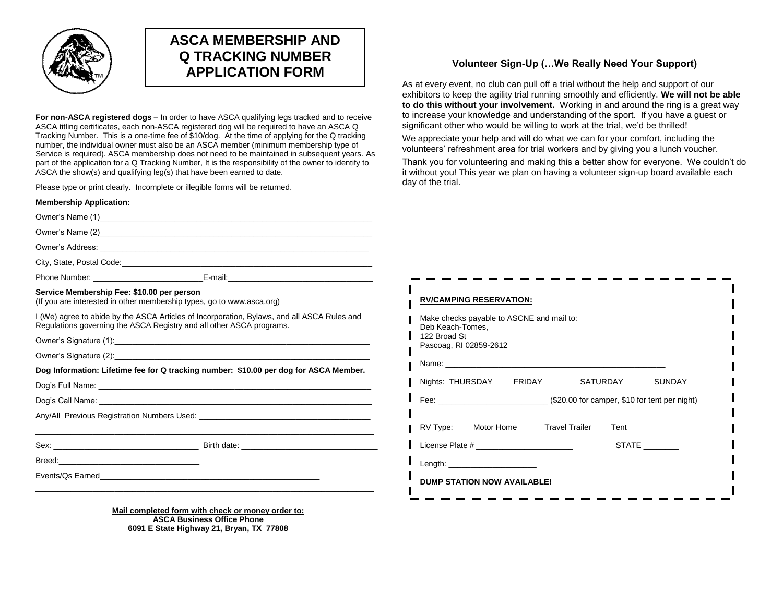

# **ASCA MEMBERSHIP AND Q TRACKING NUMBER APPLICATION FORM**

**For non-ASCA registered dogs** – In order to have ASCA qualifying legs tracked and to receive ASCA titling certificates, each non-ASCA registered dog will be required to have an ASCA Q Tracking Number. This is a one-time fee of \$10/dog. At the time of applying for the Q tracking number, the individual owner must also be an ASCA member (minimum membership type of Service is required). ASCA membership does not need to be maintained in subsequent years. As part of the application for a Q Tracking Number, It is the responsibility of the owner to identify to ASCA the show(s) and qualifying leg(s) that have been earned to date.

Please type or print clearly. Incomplete or illegible forms will be returned.

| <b>Membership Application:</b>                                                                                      |                                                                                             |
|---------------------------------------------------------------------------------------------------------------------|---------------------------------------------------------------------------------------------|
|                                                                                                                     |                                                                                             |
|                                                                                                                     |                                                                                             |
|                                                                                                                     |                                                                                             |
|                                                                                                                     |                                                                                             |
|                                                                                                                     | Phone Number: _______________________________E-mail:_____________________________           |
| Service Membership Fee: \$10.00 per person<br>(If you are interested in other membership types, go to www.asca.org) |                                                                                             |
| Regulations governing the ASCA Registry and all other ASCA programs.                                                | I (We) agree to abide by the ASCA Articles of Incorporation, Bylaws, and all ASCA Rules and |
|                                                                                                                     |                                                                                             |
|                                                                                                                     |                                                                                             |
|                                                                                                                     | Dog Information: Lifetime fee for Q tracking number: \$10.00 per dog for ASCA Member.       |
|                                                                                                                     |                                                                                             |
|                                                                                                                     |                                                                                             |
|                                                                                                                     |                                                                                             |
|                                                                                                                     |                                                                                             |
|                                                                                                                     |                                                                                             |
|                                                                                                                     |                                                                                             |

#### **Mail completed form with check or money order to: ASCA Business Office Phone 6091 E State Highway 21, Bryan, TX 77808**

### **Volunteer Sign-Up (…We Really Need Your Support)**

As at every event, no club can pull off a trial without the help and support of our exhibitors to keep the agility trial running smoothly and efficiently. **We will not be able to do this without your involvement.** Working in and around the ring is a great way to increase your knowledge and understanding of the sport. If you have a guest or significant other who would be willing to work at the trial, we'd be thrilled!

We appreciate your help and will do what we can for your comfort, including the volunteers' refreshment area for trial workers and by giving you a lunch voucher.

Thank you for volunteering and making this a better show for everyone. We couldn't do it without you! This year we plan on having a volunteer sign-up board available each day of the trial.

| <b>RV/CAMPING RESERVATION:</b>                                                                          |      |              |
|---------------------------------------------------------------------------------------------------------|------|--------------|
| Make checks payable to ASCNE and mail to:<br>Deb Keach-Tomes,<br>122 Broad St<br>Pascoag, RI 02859-2612 |      |              |
|                                                                                                         |      |              |
| Nights: THURSDAY FRIDAY SATURDAY                                                                        |      | SUNDAY       |
|                                                                                                         |      |              |
| RV Type: Motor Home Travel Trailer                                                                      | Tent |              |
| License Plate # 2009 and 2009 and 2009 and 2009 and 2009 and 2009 and 2009 and 2009 and 2009 and 200    |      | <b>STATE</b> |
| Length: $\sqrt{2\pi}$                                                                                   |      |              |
| <b>DUMP STATION NOW AVAILABLE!</b>                                                                      |      |              |
|                                                                                                         |      |              |